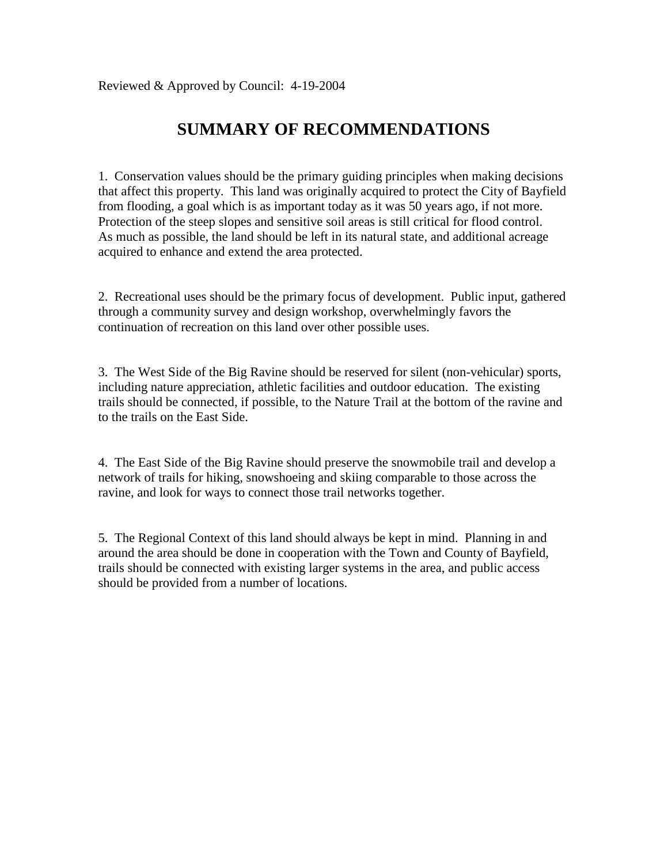# **SUMMARY OF RECOMMENDATIONS**

1. Conservation values should be the primary guiding principles when making decisions that affect this property. This land was originally acquired to protect the City of Bayfield from flooding, a goal which is as important today as it was 50 years ago, if not more. Protection of the steep slopes and sensitive soil areas is still critical for flood control. As much as possible, the land should be left in its natural state, and additional acreage acquired to enhance and extend the area protected.

2. Recreational uses should be the primary focus of development. Public input, gathered through a community survey and design workshop, overwhelmingly favors the continuation of recreation on this land over other possible uses.

3. The West Side of the Big Ravine should be reserved for silent (non-vehicular) sports, including nature appreciation, athletic facilities and outdoor education. The existing trails should be connected, if possible, to the Nature Trail at the bottom of the ravine and to the trails on the East Side.

4. The East Side of the Big Ravine should preserve the snowmobile trail and develop a network of trails for hiking, snowshoeing and skiing comparable to those across the ravine, and look for ways to connect those trail networks together.

5. The Regional Context of this land should always be kept in mind. Planning in and around the area should be done in cooperation with the Town and County of Bayfield, trails should be connected with existing larger systems in the area, and public access should be provided from a number of locations.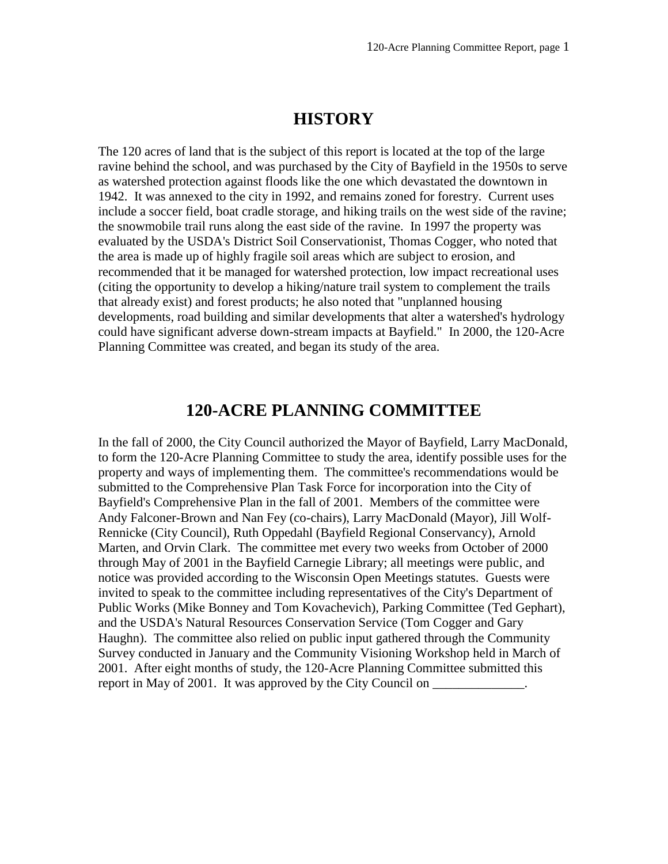## **HISTORY**

The 120 acres of land that is the subject of this report is located at the top of the large ravine behind the school, and was purchased by the City of Bayfield in the 1950s to serve as watershed protection against floods like the one which devastated the downtown in 1942. It was annexed to the city in 1992, and remains zoned for forestry. Current uses include a soccer field, boat cradle storage, and hiking trails on the west side of the ravine; the snowmobile trail runs along the east side of the ravine. In 1997 the property was evaluated by the USDA's District Soil Conservationist, Thomas Cogger, who noted that the area is made up of highly fragile soil areas which are subject to erosion, and recommended that it be managed for watershed protection, low impact recreational uses (citing the opportunity to develop a hiking/nature trail system to complement the trails that already exist) and forest products; he also noted that "unplanned housing developments, road building and similar developments that alter a watershed's hydrology could have significant adverse down-stream impacts at Bayfield." In 2000, the 120-Acre Planning Committee was created, and began its study of the area.

### **120-ACRE PLANNING COMMITTEE**

In the fall of 2000, the City Council authorized the Mayor of Bayfield, Larry MacDonald, to form the 120-Acre Planning Committee to study the area, identify possible uses for the property and ways of implementing them. The committee's recommendations would be submitted to the Comprehensive Plan Task Force for incorporation into the City of Bayfield's Comprehensive Plan in the fall of 2001. Members of the committee were Andy Falconer-Brown and Nan Fey (co-chairs), Larry MacDonald (Mayor), Jill Wolf-Rennicke (City Council), Ruth Oppedahl (Bayfield Regional Conservancy), Arnold Marten, and Orvin Clark. The committee met every two weeks from October of 2000 through May of 2001 in the Bayfield Carnegie Library; all meetings were public, and notice was provided according to the Wisconsin Open Meetings statutes. Guests were invited to speak to the committee including representatives of the City's Department of Public Works (Mike Bonney and Tom Kovachevich), Parking Committee (Ted Gephart), and the USDA's Natural Resources Conservation Service (Tom Cogger and Gary Haughn). The committee also relied on public input gathered through the Community Survey conducted in January and the Community Visioning Workshop held in March of 2001. After eight months of study, the 120-Acre Planning Committee submitted this report in May of 2001. It was approved by the City Council on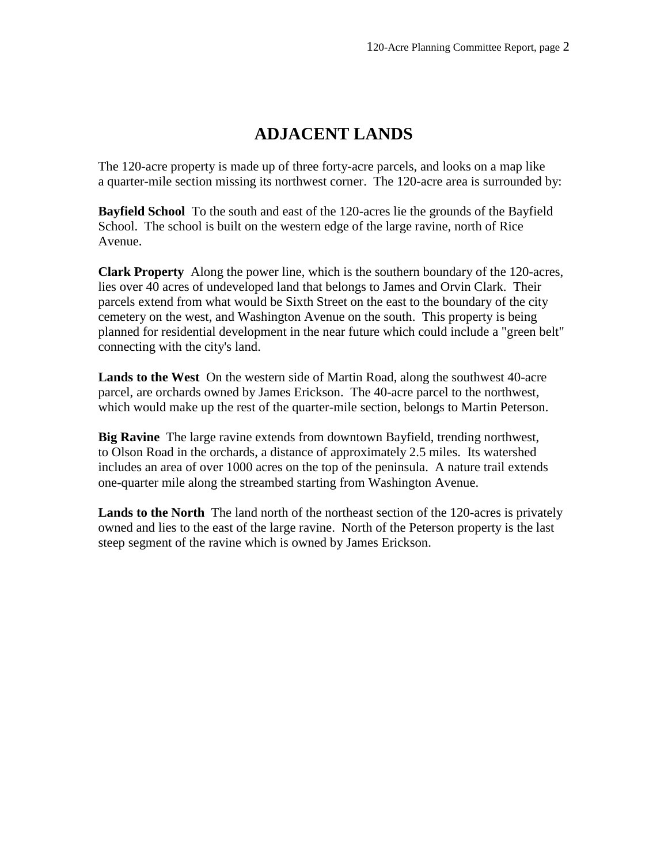# **ADJACENT LANDS**

The 120-acre property is made up of three forty-acre parcels, and looks on a map like a quarter-mile section missing its northwest corner. The 120-acre area is surrounded by:

**Bayfield School** To the south and east of the 120-acres lie the grounds of the Bayfield School. The school is built on the western edge of the large ravine, north of Rice Avenue.

**Clark Property** Along the power line, which is the southern boundary of the 120-acres, lies over 40 acres of undeveloped land that belongs to James and Orvin Clark. Their parcels extend from what would be Sixth Street on the east to the boundary of the city cemetery on the west, and Washington Avenue on the south. This property is being planned for residential development in the near future which could include a "green belt" connecting with the city's land.

**Lands to the West** On the western side of Martin Road, along the southwest 40-acre parcel, are orchards owned by James Erickson. The 40-acre parcel to the northwest, which would make up the rest of the quarter-mile section, belongs to Martin Peterson.

**Big Ravine** The large ravine extends from downtown Bayfield, trending northwest, to Olson Road in the orchards, a distance of approximately 2.5 miles. Its watershed includes an area of over 1000 acres on the top of the peninsula. A nature trail extends one-quarter mile along the streambed starting from Washington Avenue.

**Lands to the North** The land north of the northeast section of the 120-acres is privately owned and lies to the east of the large ravine. North of the Peterson property is the last steep segment of the ravine which is owned by James Erickson.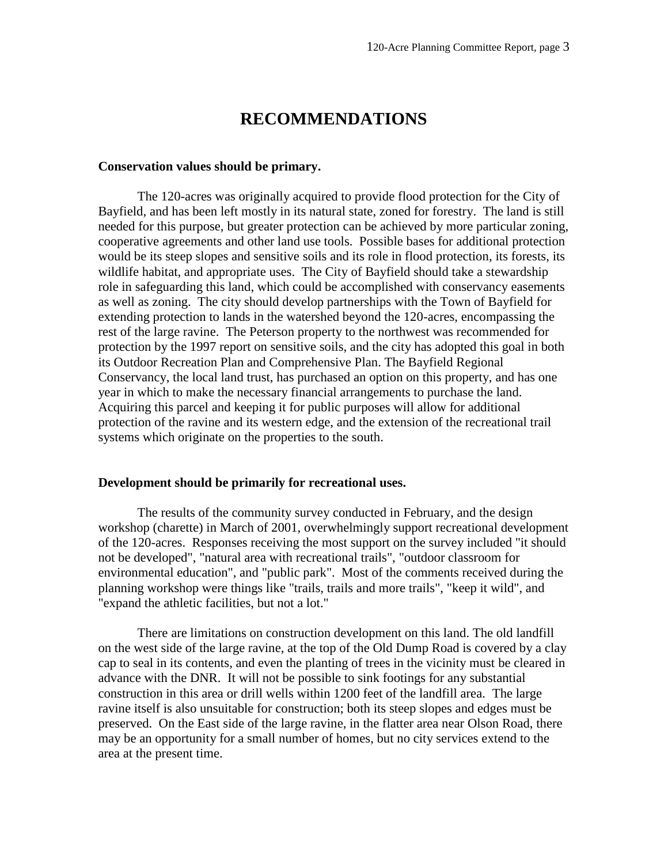### **RECOMMENDATIONS**

#### **Conservation values should be primary.**

The 120-acres was originally acquired to provide flood protection for the City of Bayfield, and has been left mostly in its natural state, zoned for forestry. The land is still needed for this purpose, but greater protection can be achieved by more particular zoning, cooperative agreements and other land use tools. Possible bases for additional protection would be its steep slopes and sensitive soils and its role in flood protection, its forests, its wildlife habitat, and appropriate uses. The City of Bayfield should take a stewardship role in safeguarding this land, which could be accomplished with conservancy easements as well as zoning. The city should develop partnerships with the Town of Bayfield for extending protection to lands in the watershed beyond the 120-acres, encompassing the rest of the large ravine. The Peterson property to the northwest was recommended for protection by the 1997 report on sensitive soils, and the city has adopted this goal in both its Outdoor Recreation Plan and Comprehensive Plan. The Bayfield Regional Conservancy, the local land trust, has purchased an option on this property, and has one year in which to make the necessary financial arrangements to purchase the land. Acquiring this parcel and keeping it for public purposes will allow for additional protection of the ravine and its western edge, and the extension of the recreational trail systems which originate on the properties to the south.

#### **Development should be primarily for recreational uses.**

The results of the community survey conducted in February, and the design workshop (charette) in March of 2001, overwhelmingly support recreational development of the 120-acres. Responses receiving the most support on the survey included "it should not be developed", "natural area with recreational trails", "outdoor classroom for environmental education", and "public park". Most of the comments received during the planning workshop were things like "trails, trails and more trails", "keep it wild", and "expand the athletic facilities, but not a lot."

There are limitations on construction development on this land. The old landfill on the west side of the large ravine, at the top of the Old Dump Road is covered by a clay cap to seal in its contents, and even the planting of trees in the vicinity must be cleared in advance with the DNR. It will not be possible to sink footings for any substantial construction in this area or drill wells within 1200 feet of the landfill area. The large ravine itself is also unsuitable for construction; both its steep slopes and edges must be preserved. On the East side of the large ravine, in the flatter area near Olson Road, there may be an opportunity for a small number of homes, but no city services extend to the area at the present time.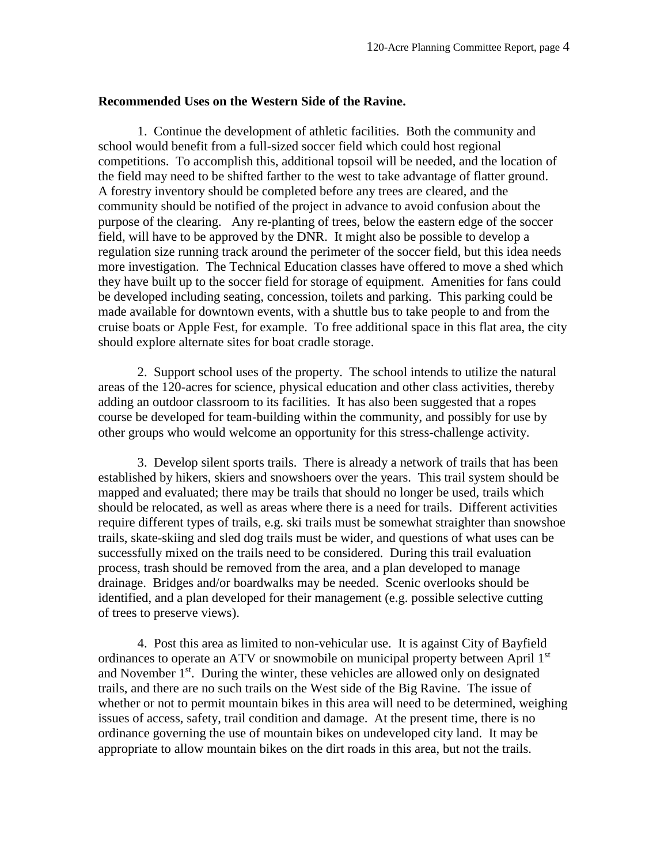#### **Recommended Uses on the Western Side of the Ravine.**

1. Continue the development of athletic facilities. Both the community and school would benefit from a full-sized soccer field which could host regional competitions. To accomplish this, additional topsoil will be needed, and the location of the field may need to be shifted farther to the west to take advantage of flatter ground. A forestry inventory should be completed before any trees are cleared, and the community should be notified of the project in advance to avoid confusion about the purpose of the clearing. Any re-planting of trees, below the eastern edge of the soccer field, will have to be approved by the DNR. It might also be possible to develop a regulation size running track around the perimeter of the soccer field, but this idea needs more investigation. The Technical Education classes have offered to move a shed which they have built up to the soccer field for storage of equipment. Amenities for fans could be developed including seating, concession, toilets and parking. This parking could be made available for downtown events, with a shuttle bus to take people to and from the cruise boats or Apple Fest, for example. To free additional space in this flat area, the city should explore alternate sites for boat cradle storage.

2. Support school uses of the property. The school intends to utilize the natural areas of the 120-acres for science, physical education and other class activities, thereby adding an outdoor classroom to its facilities. It has also been suggested that a ropes course be developed for team-building within the community, and possibly for use by other groups who would welcome an opportunity for this stress-challenge activity.

3. Develop silent sports trails. There is already a network of trails that has been established by hikers, skiers and snowshoers over the years. This trail system should be mapped and evaluated; there may be trails that should no longer be used, trails which should be relocated, as well as areas where there is a need for trails. Different activities require different types of trails, e.g. ski trails must be somewhat straighter than snowshoe trails, skate-skiing and sled dog trails must be wider, and questions of what uses can be successfully mixed on the trails need to be considered. During this trail evaluation process, trash should be removed from the area, and a plan developed to manage drainage. Bridges and/or boardwalks may be needed. Scenic overlooks should be identified, and a plan developed for their management (e.g. possible selective cutting of trees to preserve views).

4. Post this area as limited to non-vehicular use. It is against City of Bayfield ordinances to operate an ATV or snowmobile on municipal property between April 1<sup>st</sup> and November 1<sup>st</sup>. During the winter, these vehicles are allowed only on designated trails, and there are no such trails on the West side of the Big Ravine. The issue of whether or not to permit mountain bikes in this area will need to be determined, weighing issues of access, safety, trail condition and damage. At the present time, there is no ordinance governing the use of mountain bikes on undeveloped city land. It may be appropriate to allow mountain bikes on the dirt roads in this area, but not the trails.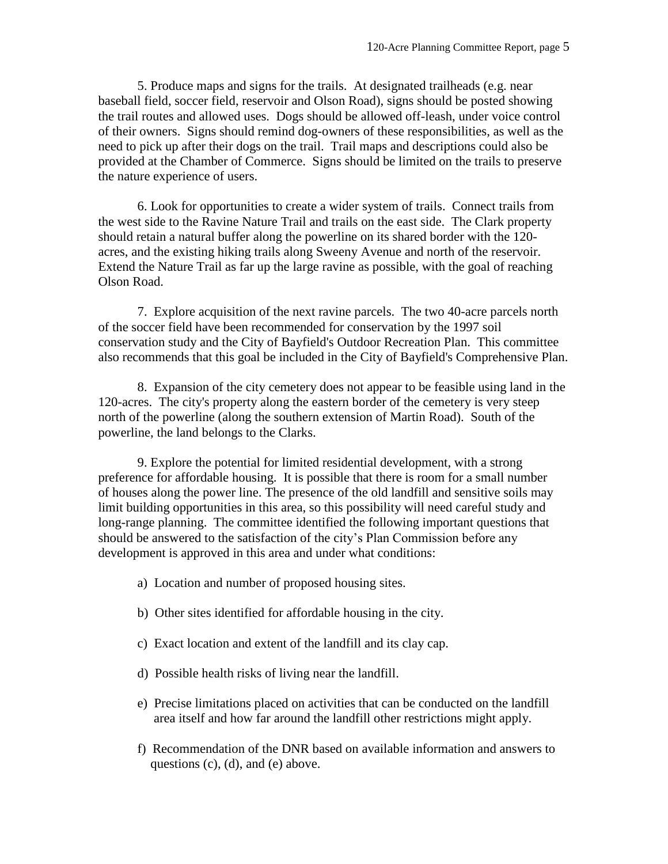5. Produce maps and signs for the trails. At designated trailheads (e.g. near baseball field, soccer field, reservoir and Olson Road), signs should be posted showing the trail routes and allowed uses. Dogs should be allowed off-leash, under voice control of their owners. Signs should remind dog-owners of these responsibilities, as well as the need to pick up after their dogs on the trail. Trail maps and descriptions could also be provided at the Chamber of Commerce. Signs should be limited on the trails to preserve the nature experience of users.

6. Look for opportunities to create a wider system of trails. Connect trails from the west side to the Ravine Nature Trail and trails on the east side. The Clark property should retain a natural buffer along the powerline on its shared border with the 120 acres, and the existing hiking trails along Sweeny Avenue and north of the reservoir. Extend the Nature Trail as far up the large ravine as possible, with the goal of reaching Olson Road.

7. Explore acquisition of the next ravine parcels. The two 40-acre parcels north of the soccer field have been recommended for conservation by the 1997 soil conservation study and the City of Bayfield's Outdoor Recreation Plan. This committee also recommends that this goal be included in the City of Bayfield's Comprehensive Plan.

8. Expansion of the city cemetery does not appear to be feasible using land in the 120-acres. The city's property along the eastern border of the cemetery is very steep north of the powerline (along the southern extension of Martin Road). South of the powerline, the land belongs to the Clarks.

9. Explore the potential for limited residential development, with a strong preference for affordable housing. It is possible that there is room for a small number of houses along the power line. The presence of the old landfill and sensitive soils may limit building opportunities in this area, so this possibility will need careful study and long-range planning. The committee identified the following important questions that should be answered to the satisfaction of the city's Plan Commission before any development is approved in this area and under what conditions:

- a) Location and number of proposed housing sites.
- b) Other sites identified for affordable housing in the city.
- c) Exact location and extent of the landfill and its clay cap.
- d) Possible health risks of living near the landfill.
- e) Precise limitations placed on activities that can be conducted on the landfill area itself and how far around the landfill other restrictions might apply.
- f) Recommendation of the DNR based on available information and answers to questions (c), (d), and (e) above.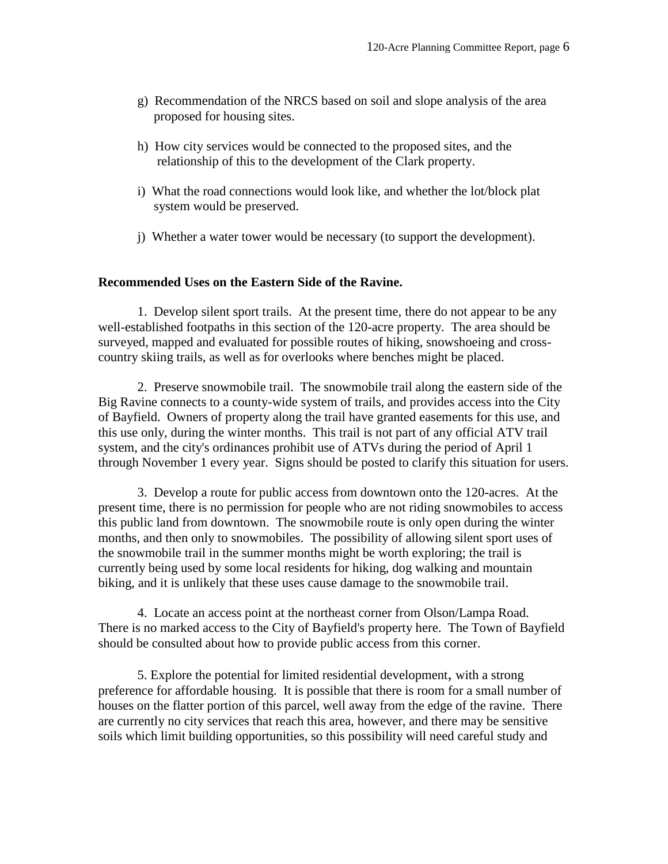- g) Recommendation of the NRCS based on soil and slope analysis of the area proposed for housing sites.
- h) How city services would be connected to the proposed sites, and the relationship of this to the development of the Clark property.
- i) What the road connections would look like, and whether the lot/block plat system would be preserved.
- j) Whether a water tower would be necessary (to support the development).

#### **Recommended Uses on the Eastern Side of the Ravine.**

1. Develop silent sport trails. At the present time, there do not appear to be any well-established footpaths in this section of the 120-acre property. The area should be surveyed, mapped and evaluated for possible routes of hiking, snowshoeing and crosscountry skiing trails, as well as for overlooks where benches might be placed.

2. Preserve snowmobile trail. The snowmobile trail along the eastern side of the Big Ravine connects to a county-wide system of trails, and provides access into the City of Bayfield. Owners of property along the trail have granted easements for this use, and this use only, during the winter months. This trail is not part of any official ATV trail system, and the city's ordinances prohibit use of ATVs during the period of April 1 through November 1 every year. Signs should be posted to clarify this situation for users.

3. Develop a route for public access from downtown onto the 120-acres. At the present time, there is no permission for people who are not riding snowmobiles to access this public land from downtown. The snowmobile route is only open during the winter months, and then only to snowmobiles. The possibility of allowing silent sport uses of the snowmobile trail in the summer months might be worth exploring; the trail is currently being used by some local residents for hiking, dog walking and mountain biking, and it is unlikely that these uses cause damage to the snowmobile trail.

4. Locate an access point at the northeast corner from Olson/Lampa Road. There is no marked access to the City of Bayfield's property here. The Town of Bayfield should be consulted about how to provide public access from this corner.

5. Explore the potential for limited residential development, with a strong preference for affordable housing. It is possible that there is room for a small number of houses on the flatter portion of this parcel, well away from the edge of the ravine. There are currently no city services that reach this area, however, and there may be sensitive soils which limit building opportunities, so this possibility will need careful study and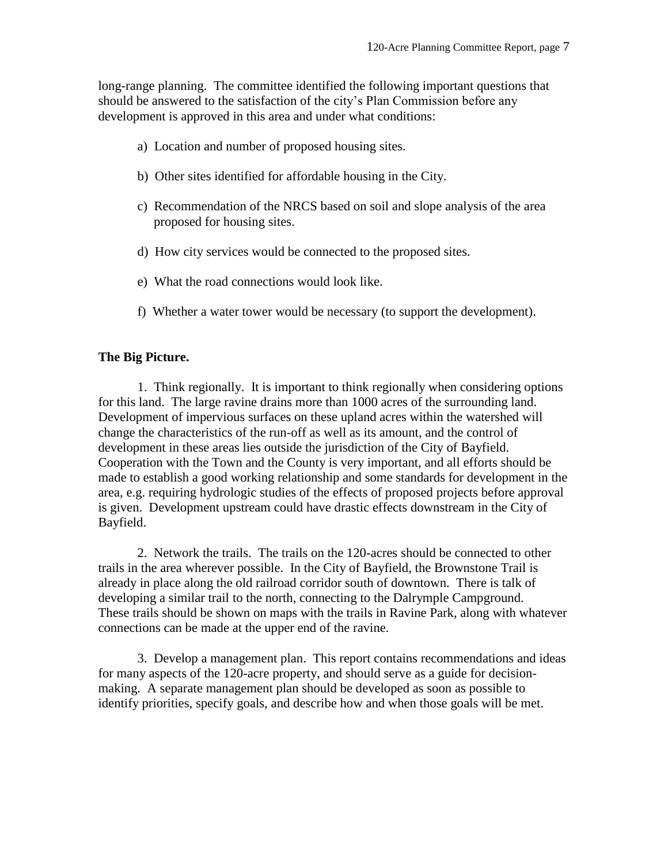long-range planning. The committee identified the following important questions that should be answered to the satisfaction of the city's Plan Commission before any development is approved in this area and under what conditions:

- a) Location and number of proposed housing sites.
- b) Other sites identified for affordable housing in the City.
- c) Recommendation of the NRCS based on soil and slope analysis of the area proposed for housing sites.
- d) How city services would be connected to the proposed sites.
- e) What the road connections would look like.
- f) Whether a water tower would be necessary (to support the development).

#### **The Big Picture.**

1. Think regionally. It is important to think regionally when considering options for this land. The large ravine drains more than 1000 acres of the surrounding land. Development of impervious surfaces on these upland acres within the watershed will change the characteristics of the run-off as well as its amount, and the control of development in these areas lies outside the jurisdiction of the City of Bayfield. Cooperation with the Town and the County is very important, and all efforts should be made to establish a good working relationship and some standards for development in the area, e.g. requiring hydrologic studies of the effects of proposed projects before approval is given. Development upstream could have drastic effects downstream in the City of Bayfield.

2. Network the trails. The trails on the 120-acres should be connected to other trails in the area wherever possible. In the City of Bayfield, the Brownstone Trail is already in place along the old railroad corridor south of downtown. There is talk of developing a similar trail to the north, connecting to the Dalrymple Campground. These trails should be shown on maps with the trails in Ravine Park, along with whatever connections can be made at the upper end of the ravine.

3. Develop a management plan. This report contains recommendations and ideas for many aspects of the 120-acre property, and should serve as a guide for decisionmaking. A separate management plan should be developed as soon as possible to identify priorities, specify goals, and describe how and when those goals will be met.